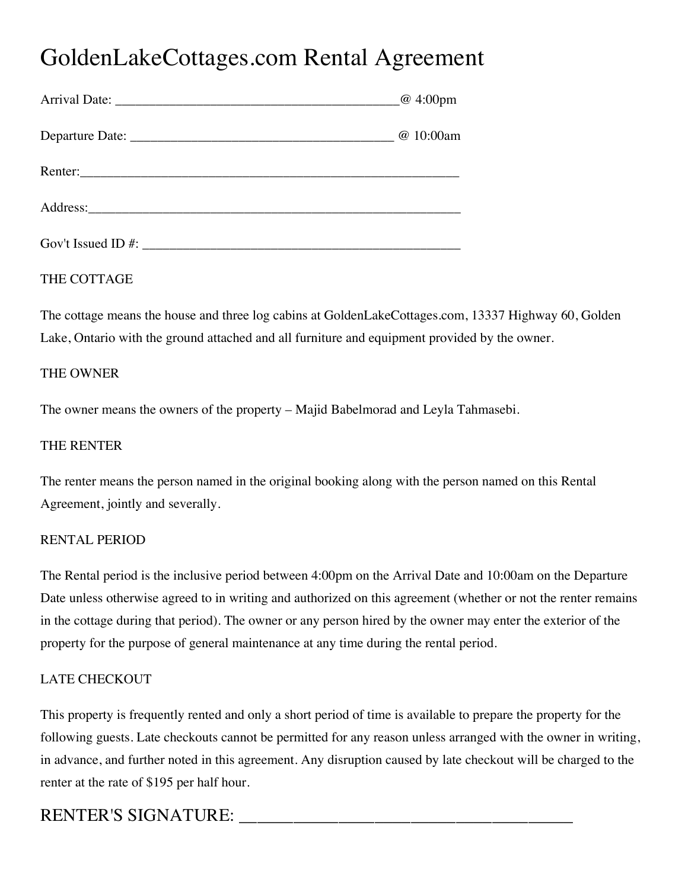# GoldenLakeCottages.com Rental Agreement

|                       | $\omega$ 4:00pm |
|-----------------------|-----------------|
|                       | @ 10:00am       |
|                       |                 |
|                       |                 |
| Gov't Issued ID $#$ : |                 |

# THE COTTAGE

The cottage means the house and three log cabins at GoldenLakeCottages.com, 13337 Highway 60, Golden Lake, Ontario with the ground attached and all furniture and equipment provided by the owner.

# THE OWNER

The owner means the owners of the property – Majid Babelmorad and Leyla Tahmasebi.

# THE RENTER

The renter means the person named in the original booking along with the person named on this Rental Agreement, jointly and severally.

# RENTAL PERIOD

The Rental period is the inclusive period between 4:00pm on the Arrival Date and 10:00am on the Departure Date unless otherwise agreed to in writing and authorized on this agreement (whether or not the renter remains in the cottage during that period). The owner or any person hired by the owner may enter the exterior of the property for the purpose of general maintenance at any time during the rental period.

# LATE CHECKOUT

This property is frequently rented and only a short period of time is available to prepare the property for the following guests. Late checkouts cannot be permitted for any reason unless arranged with the owner in writing, in advance, and further noted in this agreement. Any disruption caused by late checkout will be charged to the renter at the rate of \$195 per half hour.

# RENTER'S SIGNATURE: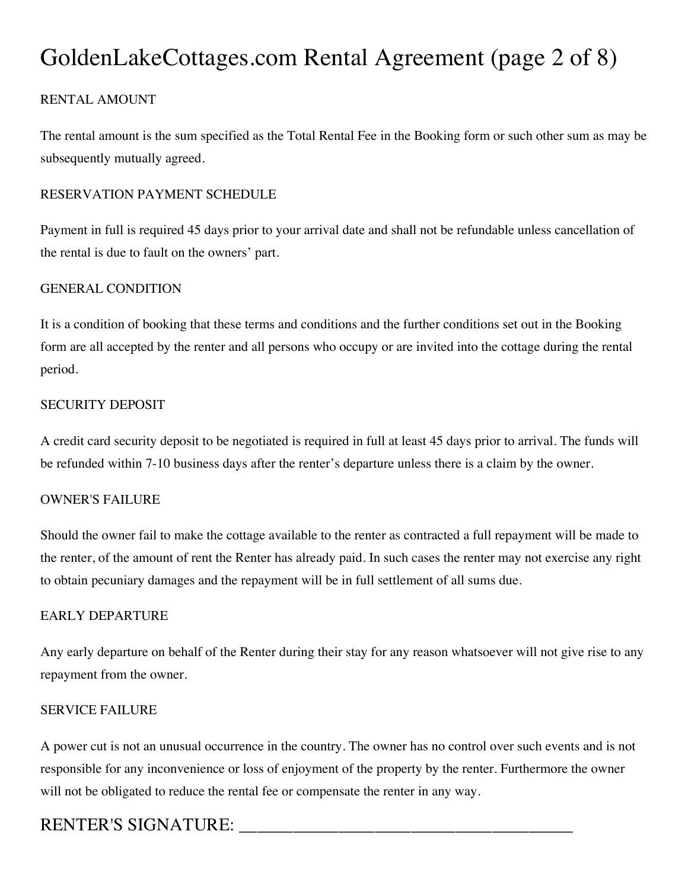# GoldenLakeCottages.com Rental Agreement (page 2 of 8)

# RENTAL AMOUNT

The rental amount is the sum specified as the Total Rental Fee in the Booking form or such other sum as may be subsequently mutually agreed.

# RESERVATION PAYMENT SCHEDULE

Payment in full is required 45 days prior to your arrival date and shall not be refundable unless cancellation of the rental is due to fault on the owners' part.

### GENERAL CONDITION

It is a condition of booking that these terms and conditions and the further conditions set out in the Booking form are all accepted by the renter and all persons who occupy or are invited into the cottage during the rental period.

#### SECURITY DEPOSIT

A credit card security deposit to be negotiated is required in full at least 45 days prior to arrival. The funds will be refunded within 7-10 business days after the renter's departure unless there is a claim by the owner.

#### OWNER'S FAILURE

Should the owner fail to make the cottage available to the renter as contracted a full repayment will be made to the renter, of the amount of rent the Renter has already paid. In such cases the renter may not exercise any right to obtain pecuniary damages and the repayment will be in full settlement of all sums due.

#### EARLY DEPARTURE

Any early departure on behalf of the Renter during their stay for any reason whatsoever will not give rise to any repayment from the owner.

#### SERVICE FAILURE

A power cut is not an unusual occurrence in the country. The owner has no control over such events and is not responsible for any inconvenience or loss of enjoyment of the property by the renter. Furthermore the owner will not be obligated to reduce the rental fee or compensate the renter in any way.

# RENTER'S SIGNATURE: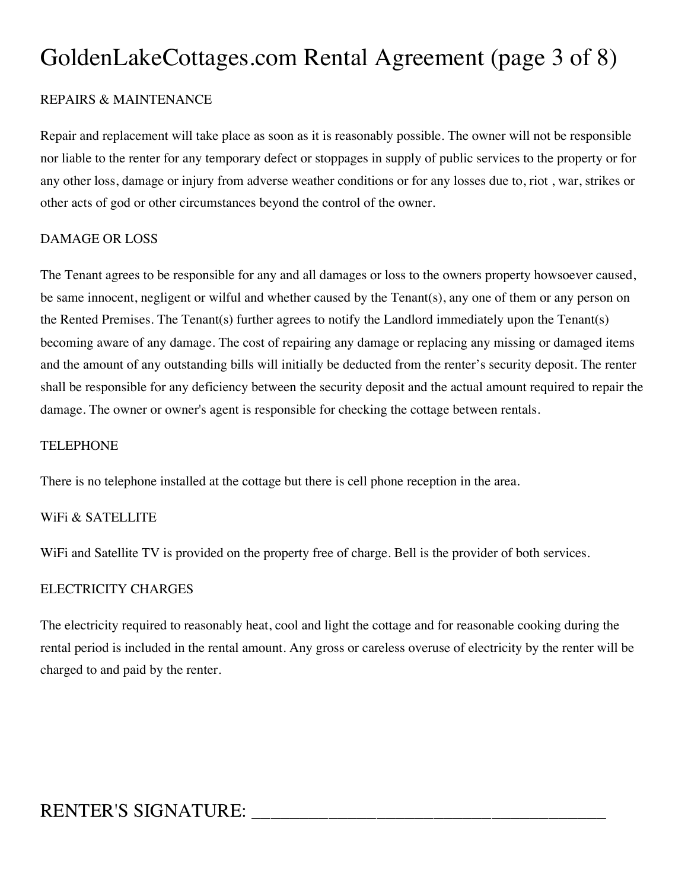# GoldenLakeCottages.com Rental Agreement (page 3 of 8)

### REPAIRS & MAINTENANCE

Repair and replacement will take place as soon as it is reasonably possible. The owner will not be responsible nor liable to the renter for any temporary defect or stoppages in supply of public services to the property or for any other loss, damage or injury from adverse weather conditions or for any losses due to, riot , war, strikes or other acts of god or other circumstances beyond the control of the owner.

#### DAMAGE OR LOSS

The Tenant agrees to be responsible for any and all damages or loss to the owners property howsoever caused, be same innocent, negligent or wilful and whether caused by the Tenant(s), any one of them or any person on the Rented Premises. The Tenant(s) further agrees to notify the Landlord immediately upon the Tenant(s) becoming aware of any damage. The cost of repairing any damage or replacing any missing or damaged items and the amount of any outstanding bills will initially be deducted from the renter's security deposit. The renter shall be responsible for any deficiency between the security deposit and the actual amount required to repair the damage. The owner or owner's agent is responsible for checking the cottage between rentals.

#### **TELEPHONE**

There is no telephone installed at the cottage but there is cell phone reception in the area.

#### WiFi & SATELLITE

WiFi and Satellite TV is provided on the property free of charge. Bell is the provider of both services.

#### ELECTRICITY CHARGES

The electricity required to reasonably heat, cool and light the cottage and for reasonable cooking during the rental period is included in the rental amount. Any gross or careless overuse of electricity by the renter will be charged to and paid by the renter.

# RENTER'S SIGNATURE: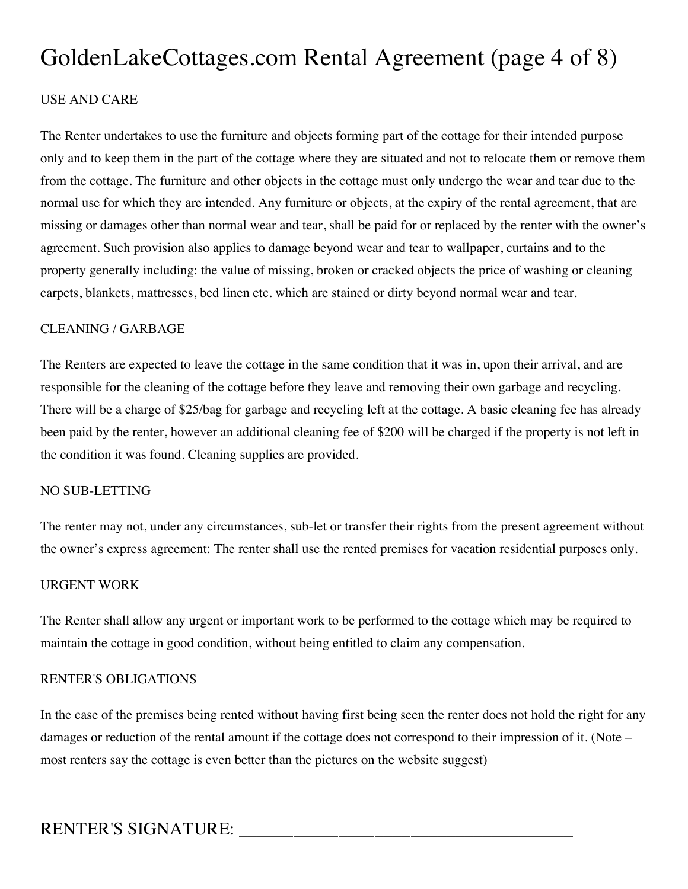# GoldenLakeCottages.com Rental Agreement (page 4 of 8)

### USE AND CARE

The Renter undertakes to use the furniture and objects forming part of the cottage for their intended purpose only and to keep them in the part of the cottage where they are situated and not to relocate them or remove them from the cottage. The furniture and other objects in the cottage must only undergo the wear and tear due to the normal use for which they are intended. Any furniture or objects, at the expiry of the rental agreement, that are missing or damages other than normal wear and tear, shall be paid for or replaced by the renter with the owner's agreement. Such provision also applies to damage beyond wear and tear to wallpaper, curtains and to the property generally including: the value of missing, broken or cracked objects the price of washing or cleaning carpets, blankets, mattresses, bed linen etc. which are stained or dirty beyond normal wear and tear.

#### CLEANING / GARBAGE

The Renters are expected to leave the cottage in the same condition that it was in, upon their arrival, and are responsible for the cleaning of the cottage before they leave and removing their own garbage and recycling. There will be a charge of \$25/bag for garbage and recycling left at the cottage. A basic cleaning fee has already been paid by the renter, however an additional cleaning fee of \$200 will be charged if the property is not left in the condition it was found. Cleaning supplies are provided.

#### NO SUB-LETTING

The renter may not, under any circumstances, sub-let or transfer their rights from the present agreement without the owner's express agreement: The renter shall use the rented premises for vacation residential purposes only.

#### URGENT WORK

The Renter shall allow any urgent or important work to be performed to the cottage which may be required to maintain the cottage in good condition, without being entitled to claim any compensation.

#### RENTER'S OBLIGATIONS

In the case of the premises being rented without having first being seen the renter does not hold the right for any damages or reduction of the rental amount if the cottage does not correspond to their impression of it. (Note – most renters say the cottage is even better than the pictures on the website suggest)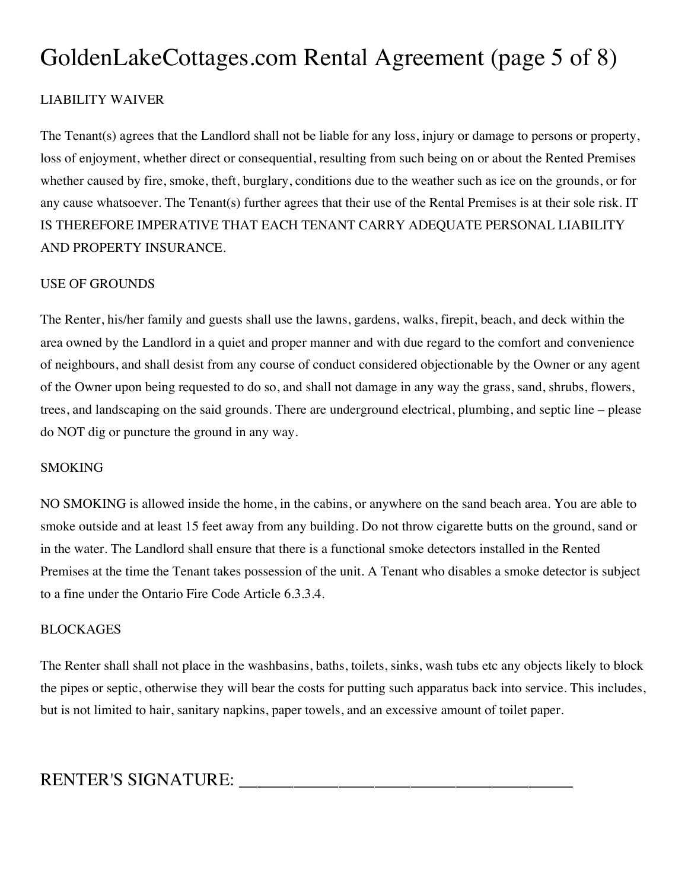# GoldenLakeCottages.com Rental Agreement (page 5 of 8)

# LIABILITY WAIVER

The Tenant(s) agrees that the Landlord shall not be liable for any loss, injury or damage to persons or property, loss of enjoyment, whether direct or consequential, resulting from such being on or about the Rented Premises whether caused by fire, smoke, theft, burglary, conditions due to the weather such as ice on the grounds, or for any cause whatsoever. The Tenant(s) further agrees that their use of the Rental Premises is at their sole risk. IT IS THEREFORE IMPERATIVE THAT EACH TENANT CARRY ADEQUATE PERSONAL LIABILITY AND PROPERTY INSURANCE.

# USE OF GROUNDS

The Renter, his/her family and guests shall use the lawns, gardens, walks, firepit, beach, and deck within the area owned by the Landlord in a quiet and proper manner and with due regard to the comfort and convenience of neighbours, and shall desist from any course of conduct considered objectionable by the Owner or any agent of the Owner upon being requested to do so, and shall not damage in any way the grass, sand, shrubs, flowers, trees, and landscaping on the said grounds. There are underground electrical, plumbing, and septic line – please do NOT dig or puncture the ground in any way.

#### **SMOKING**

NO SMOKING is allowed inside the home, in the cabins, or anywhere on the sand beach area. You are able to smoke outside and at least 15 feet away from any building. Do not throw cigarette butts on the ground, sand or in the water. The Landlord shall ensure that there is a functional smoke detectors installed in the Rented Premises at the time the Tenant takes possession of the unit. A Tenant who disables a smoke detector is subject to a fine under the Ontario Fire Code Article 6.3.3.4.

#### BLOCKAGES

The Renter shall shall not place in the washbasins, baths, toilets, sinks, wash tubs etc any objects likely to block the pipes or septic, otherwise they will bear the costs for putting such apparatus back into service. This includes, but is not limited to hair, sanitary napkins, paper towels, and an excessive amount of toilet paper.

| <b>RENTER'S SIGNATURE:</b> |
|----------------------------|
|----------------------------|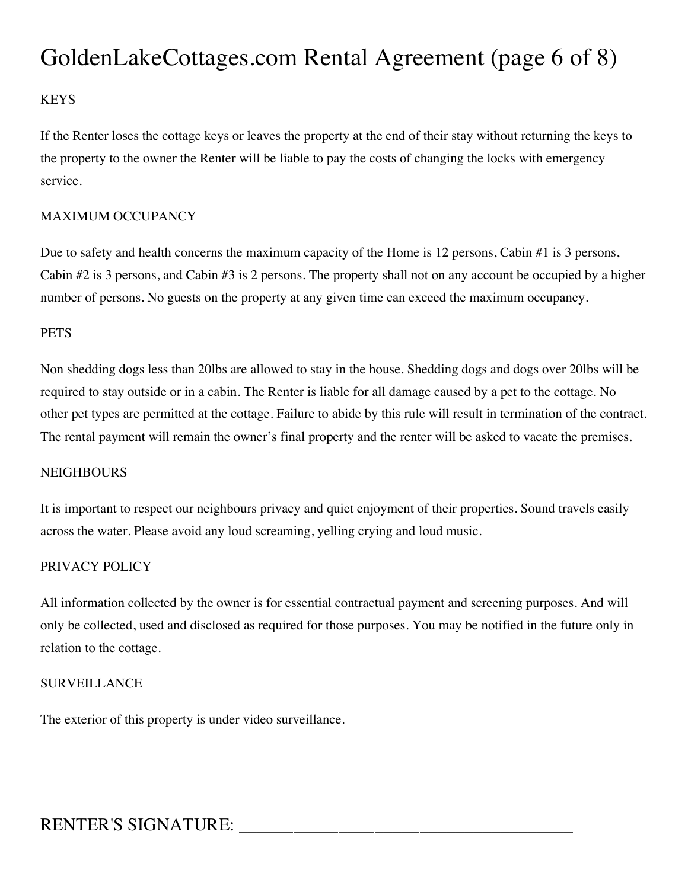# GoldenLakeCottages.com Rental Agreement (page 6 of 8)

# **KEYS**

If the Renter loses the cottage keys or leaves the property at the end of their stay without returning the keys to the property to the owner the Renter will be liable to pay the costs of changing the locks with emergency service.

### MAXIMUM OCCUPANCY

Due to safety and health concerns the maximum capacity of the Home is 12 persons, Cabin #1 is 3 persons, Cabin #2 is 3 persons, and Cabin #3 is 2 persons. The property shall not on any account be occupied by a higher number of persons. No guests on the property at any given time can exceed the maximum occupancy.

### **PETS**

Non shedding dogs less than 20lbs are allowed to stay in the house. Shedding dogs and dogs over 20lbs will be required to stay outside or in a cabin. The Renter is liable for all damage caused by a pet to the cottage. No other pet types are permitted at the cottage. Failure to abide by this rule will result in termination of the contract. The rental payment will remain the owner's final property and the renter will be asked to vacate the premises.

#### **NEIGHBOURS**

It is important to respect our neighbours privacy and quiet enjoyment of their properties. Sound travels easily across the water. Please avoid any loud screaming, yelling crying and loud music.

#### PRIVACY POLICY

All information collected by the owner is for essential contractual payment and screening purposes. And will only be collected, used and disclosed as required for those purposes. You may be notified in the future only in relation to the cottage.

#### SURVEILLANCE

The exterior of this property is under video surveillance.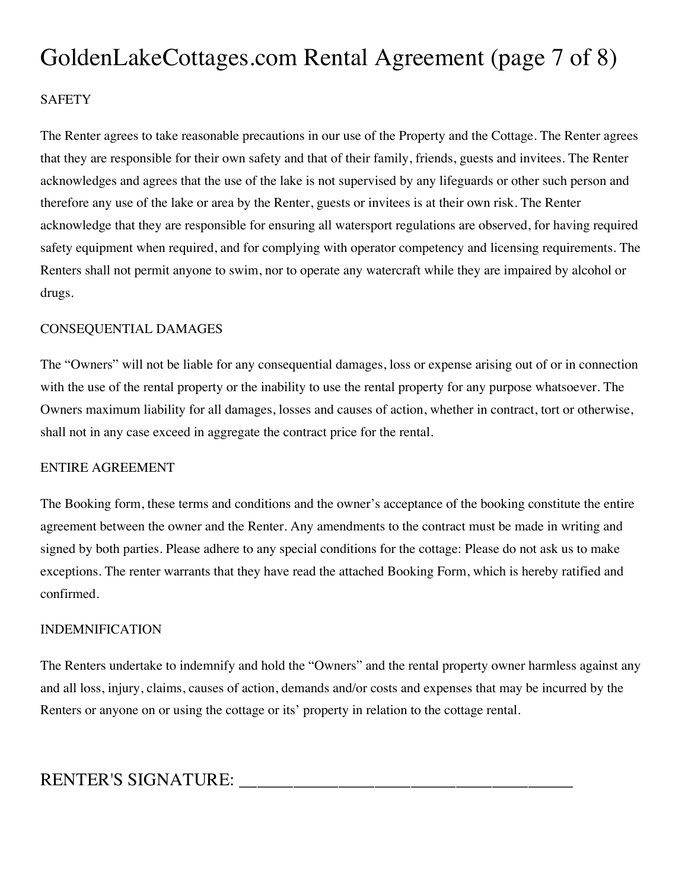# GoldenLakeCottages.com Rental Agreement (page 7 of 8)

# **SAFETY**

The Renter agrees to take reasonable precautions in our use of the Property and the Cottage. The Renter agrees that they are responsible for their own safety and that of their family, friends, guests and invitees. The Renter acknowledges and agrees that the use of the lake is not supervised by any lifeguards or other such person and therefore any use of the lake or area by the Renter, guests or invitees is at their own risk. The Renter acknowledge that they are responsible for ensuring all watersport regulations are observed, for having required safety equipment when required, and for complying with operator competency and licensing requirements. The Renters shall not permit anyone to swim, nor to operate any watercraft while they are impaired by alcohol or drugs.

#### CONSEQUENTIAL DAMAGES

The "Owners" will not be liable for any consequential damages, loss or expense arising out of or in connection with the use of the rental property or the inability to use the rental property for any purpose whatsoever. The Owners maximum liability for all damages, losses and causes of action, whether in contract, tort or otherwise, shall not in any case exceed in aggregate the contract price for the rental.

#### ENTIRE AGREEMENT

The Booking form, these terms and conditions and the owner's acceptance of the booking constitute the entire agreement between the owner and the Renter. Any amendments to the contract must be made in writing and signed by both parties. Please adhere to any special conditions for the cottage: Please do not ask us to make exceptions. The renter warrants that they have read the attached Booking Form, which is hereby ratified and confirmed.

#### INDEMNIFICATION

The Renters undertake to indemnify and hold the "Owners" and the rental property owner harmless against any and all loss, injury, claims, causes of action, demands and/or costs and expenses that may be incurred by the Renters or anyone on or using the cottage or its' property in relation to the cottage rental.

| <b>RENTER'S SIGNATURE:</b> |
|----------------------------|
|----------------------------|